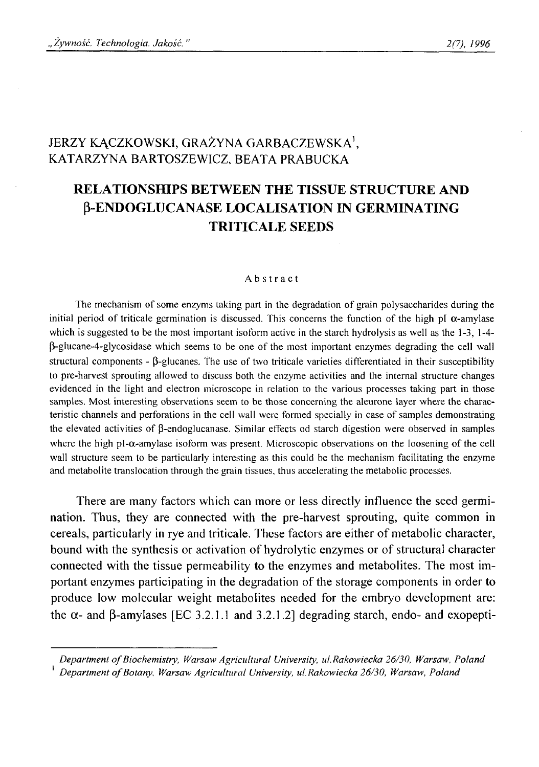## JERZY KĄCZKOWSKI, GRAŻYNA GARBACZEWSKA<sup>1</sup>, KATARZYNA BARTOSZEWICZ, BEATA PRABUCKA

# **RELATIONSHIPS BETWEEN THE TISSUE STRUCTURE AND P-ENDOGLUCANASE LOCALISATION IN GERMINATING TRITICALE SEEDS**

#### Abstract

**The mechanism of some enzyms taking part in the degradation of grain polysaccharides during the** initial period of triticale germination is discussed. This concerns the function of the high pI  $\alpha$ -amylase **which is suggested to be the most important isoform active in the starch hydrolysis as well as the 1-3, 1-4- P-glucane-4-glycosidase which seems to be one of the most important enzymes degrading the cell wall structural components - (3-glucanes. The use of two triticale varieties differentiated in their susceptibility to pre-harvest sprouting allowed to discuss both the enzyme activities and the internal structure changes evidenced in the light and electron microscope in relation to the various processes taking part in those samples. Most interesting observations seem to be those concerning the aleurone layer where the characteristic channels and perforations in the cell wall were formed specially in case of samples demonstrating the elevated activities of (3-endoglucanase. Similar effects od starch digestion were observed in samples** where the high  $pI-\alpha$ -amylase isoform was present. Microscopic observations on the loosening of the cell **wall structure seem to be particularly interesting as this could be the mechanism facilitating the enzyme and metabolite translocation through the grain tissues, thus accelerating the metabolic processes.**

There are many factors which can more or less directly influence the seed germination. Thus, they are connected with the pre-harvest sprouting, quite common in cereals, particularly in rye and triticale. These factors are either of metabolic character, bound with the synthesis or activation of hydrolytic enzymes or of structural character connected with the tissue permeability to the enzymes and metabolites. The most important enzymes participating in the degradation of the storage components in order to produce low molecular weight metabolites needed for the embryo development are: the  $\alpha$ - and  $\beta$ -amylases [EC 3.2.1.1 and 3.2.1.2] degrading starch, endo- and exopepti-

Department of Biochemistry, Warsaw Agricultural University, ul. Rakowiecka 26/30, Warsaw, Poland <sup>1</sup> Department of Botany, Warsaw Agricultural University, ul. Rakowiecka 26/30, Warsaw, Poland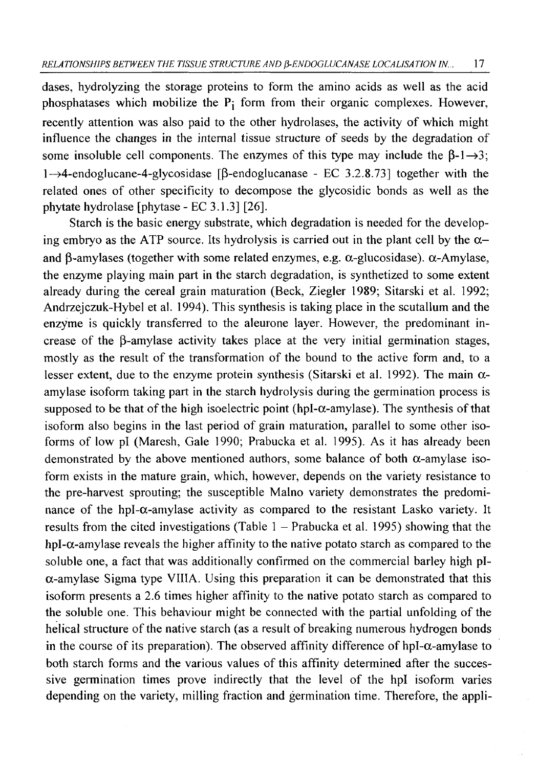dases, hydrolyzing the storage proteins to form the amino acids as well as the acid phosphatases which mobilize the  $P_i$  form from their organic complexes. However, recently attention was also paid to the other hydrolases, the activity of which might influence the changes in the internal tissue structure of seeds by the degradation of some insoluble cell components. The enzymes of this type may include the  $\beta$ -1 $\rightarrow$ 3;  $1 \rightarrow 4$ -endoglucane-4-glycosidase [ $\beta$ -endoglucanase - EC 3.2.8.73] together with the related ones of other specificity to decompose the glycosidic bonds as well as the phytate hydrolase [phytase - EC 3.1.3] [26].

Starch is the basic energy substrate, which degradation is needed for the developing embryo as the ATP source. Its hydrolysis is carried out in the plant cell by the  $\alpha$ and  $\beta$ -amylases (together with some related enzymes, e.g.  $\alpha$ -glucosidase).  $\alpha$ -Amylase, the enzyme playing main part in the starch degradation, is synthetized to some extent already during the cereal grain maturation (Beck, Ziegler 1989; Sitarski et al. 1992; Andrzejczuk-Hybel et al. 1994). This synthesis is taking place in the scutallum and the enzyme is quickly transferred to the aleurone layer. However, the predominant increase of the  $\beta$ -amylase activity takes place at the very initial germination stages, mostly as the result of the transformation of the bound to the active form and, to a lesser extent, due to the enzyme protein synthesis (Sitarski et al. 1992). The main  $\alpha$ amylase isoform taking part in the starch hydrolysis during the germination process is supposed to be that of the high isoelectric point (hpI- $\alpha$ -amylase). The synthesis of that isoform also begins in the last period of grain maturation, parallel to some other isoforms of low pi (Maresh, Gale 1990; Prabucka et al. 1995). As it has already been demonstrated by the above mentioned authors, some balance of both  $\alpha$ -amylase isoform exists in the mature grain, which, however, depends on the variety resistance to the pre-harvest sprouting; the susceptible Malno variety demonstrates the predominance of the hpl- $\alpha$ -amylase activity as compared to the resistant Lasko variety. It results from the cited investigations (Table  $1 -$  Prabucka et al. 1995) showing that the hpl- $\alpha$ -amylase reveals the higher affinity to the native potato starch as compared to the soluble one, a fact that was additionally confirmed on the commercial barley high pl- $\alpha$ -amylase Sigma type VIIIA. Using this preparation it can be demonstrated that this isoform presents a 2 .6 times higher affinity to the native potato starch as compared to the soluble one. This behaviour might be connected with the partial unfolding of the helical structure of the native starch (as a result of breaking numerous hydrogen bonds in the course of its preparation). The observed affinity difference of hpl- $\alpha$ -amylase to both starch forms and the various values of this affinity determined after the successive germination times prove indirectly that the level of the hpl isoform varies depending on the variety, milling fraction and germination time. Therefore, the appli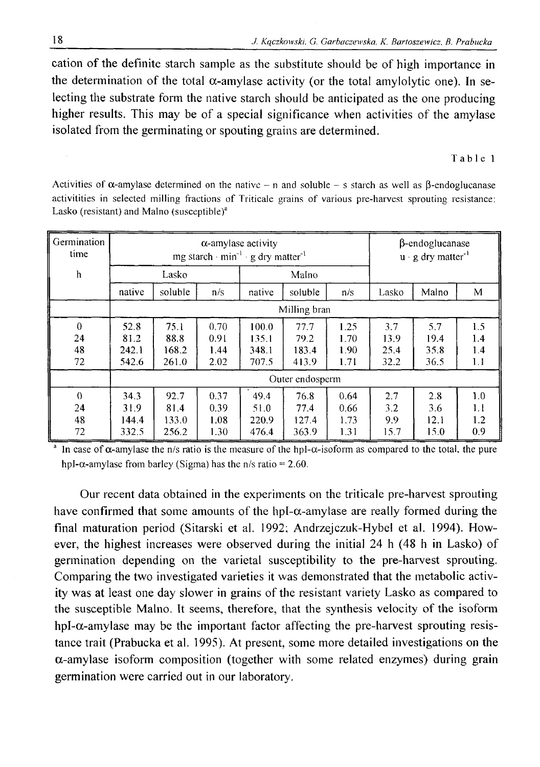cation of the definite starch sample as the substitute should be of high importance in the determination of the total  $\alpha$ -amylase activity (or the total amylolytic one). In selecting the substrate form the native starch should be anticipated as the one producing higher results. This may be of a special significance when activities of the amylase isolated from the germinating or spouting grains are determined.

Table 1

**Germination time h a-amylase activity**  $mg$  starch  $\cdot$  min<sup>-1</sup>  $\cdot$  g dry matter<sup>-1</sup> **P-endoglucanase u** · g dry matter<sup>-1</sup> Lasko **Malno native** soluble n/s | native | soluble | n/s | Lasko | Malno | M **Milling bran** <sup>0</sup> **52.8 75.1 0.70** 1 0 0 . 0 **77.7 1.25 3.7 5.7 1.5 24 81.2** 8 8 . 8 **0.91 135.1 79.2 1.70 13.9 19.4 1.4 48 242.1 168.2 1.44 348.1 183.4 1.90 25.4 35.8 1.4 72 542.6 261.0** 2 . 0 2 **707.5 413.9 1.71 32.2 36.5** 1 . 1 **Outer endosperm** 0 **1** 34.3 **92.7 1** 0.37 **1** 49.4 **1** 76.8 **1** 0.64 **1 2.7 1** 2.8 **1** 1.0 **24 31.9 81.4 0.39 51.0 77.4** 0 . 6 6 **3.2 3.6** 1 . 1 **48 144.4 133.0 1.08 220.9 127.4 1.73 9.9** 1 2 . 1 1 . 2 **72 332.5 256.2 1.30 476.4 363.9 1.31 15.7 15.0 0.9**

Activities of  $\alpha$ -amylase determined on the native – n and soluble – s starch as well as  $\beta$ -endoglucanase **activitities in selected milling fractions of Triticale grains of various pre-harvest sprouting resistance:** Lasko (resistant) and Malno (susceptible)<sup>a</sup>

In case of  $\alpha$ -amylase the n/s ratio is the measure of the hpl- $\alpha$ -isoform as compared to the total, the pure hpl- $\alpha$ -amylase from barley (Sigma) has the n/s ratio = 2.60.

Our recent data obtained in the experiments on the triticale pre-harvest sprouting have confirmed that some amounts of the hpl- $\alpha$ -amylase are really formed during the final maturation period (Sitarski et al. 1992; Andrzejczuk-Hybel et al. 1994). However, the highest increases were observed during the initial 24 h (48 h in Lasko) of germination depending on the varietal susceptibility to the pre-harvest sprouting. Comparing the two investigated varieties it was demonstrated that the metabolic activity was at least one day slower in grains of the resistant variety Lasko as compared to the susceptible Malno. It seems, therefore, that the synthesis velocity of the isoform hpl- $\alpha$ -amylase may be the important factor affecting the pre-harvest sprouting resistance trait (Prabucka et al. 1995). At present, some more detailed investigations on the  $\alpha$ -amylase isoform composition (together with some related enzymes) during grain germination were carried out in our laboratory.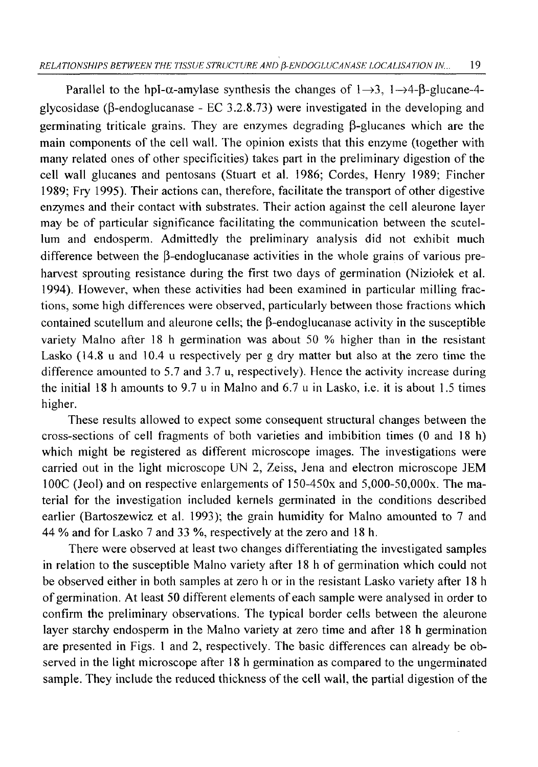Parallel to the hpI- $\alpha$ -amylase synthesis the changes of  $1 \rightarrow 3$ ,  $1 \rightarrow 4$ - $\beta$ -glucane-4glycosidase ( $\beta$ -endoglucanase - EC 3.2.8.73) were investigated in the developing and germinating triticale grains. They are enzymes degrading  $\beta$ -glucanes which are the main components of the cell wall. The opinion exists that this enzyme (together with many related ones of other specificities) takes part in the preliminary digestion of the cell wall glucanes and pentosans (Stuart et al. 1986; Cordes, Henry 1989; Fincher 1989; Fry 1995). Their actions can, therefore, facilitate the transport of other digestive enzymes and their contact with substrates. Their action against the cell aleurone layer may be of particular significance facilitating the communication between the scutellum and endosperm. Admittedly the preliminary analysis did not exhibit much difference between the  $\beta$ -endoglucanase activities in the whole grains of various preharvest sprouting resistance during the first two days of germination (Niziołek et al. 1994). However, when these activities had been examined in particular milling fractions, some high differences were observed, particularly between those fractions which contained scutellum and aleurone cells; the  $\beta$ -endoglucanase activity in the susceptible variety Malno after 18 h germination was about 50 % higher than in the resistant Lasko (14.8 u and 10.4 u respectively per g dry matter but also at the zero time the difference amounted to 5.7 and 3.7 u, respectively). Hence the activity increase during the initial 18 h amounts to 9.7 u in Malno and 6.7 u in Lasko, i.e. it is about 1.5 times higher.

These results allowed to expect some consequent structural changes between the cross-sections of cell fragments of both varieties and imbibition times (0 and 18 h) which might be registered as different microscope images. The investigations were carried out in the light microscope UN 2, Zeiss, Jena and electron microscope JEM 100C (Jeol) and on respective enlargements of 150-450x and 5,000-50,OOOx. The material for the investigation included kernels germinated in the conditions described earlier (Bartoszewicz et al. 1993); the grain humidity for Malno amounted to 7 and 44 % and for Lasko 7 and 33 %, respectively at the zero and 18 h.

There were observed at least two changes differentiating the investigated samples in relation to the susceptible Malno variety after 18 h of germination which could not be observed either in both samples at zero h or in the resistant Lasko variety after 18 h of germination. At least 50 different elements of each sample were analysed in order to confirm the preliminary observations. The typical border cells between the aleurone layer starchy endosperm in the Malno variety at zero time and after 18 h germination are presented in Figs. 1 and 2, respectively. The basic differences can already be observed in the light microscope after 18 h germination as compared to the ungerminated sample. They include the reduced thickness of the cell wall, the partial digestion of the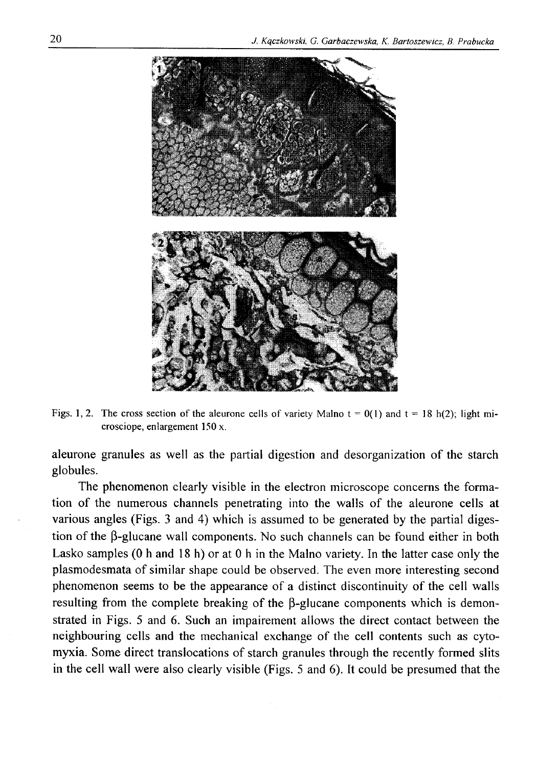

Figs. 1, 2. The cross section of the aleurone cells of variety Malno  $t = 0(1)$  and  $t = 18$  h(2); light mi**crosciope, enlargement 150 x.**

aleurone granules as well as the partial digestion and desorganization of the starch globules.

The phenomenon clearly visible in the electron microscope concerns the formation of the numerous channels penetrating into the walls of the aleurone cells at various angles (Figs. 3 and 4) which is assumed to be generated by the partial digestion of the  $\beta$ -glucane wall components. No such channels can be found either in both Lasko samples (0 h and 18 h) or at 0 h in the Malno variety. In the latter case only the plasmodesmata of similar shape could be observed. The even more interesting second phenomenon seems to be the appearance of a distinct discontinuity of the cell walls resulting from the complete breaking of the  $\beta$ -glucane components which is demonstrated in Figs. 5 and 6 . Such an impairement allows the direct contact between the neighbouring cells and the mechanical exchange of the cell contents such as cytomyxia. Some direct translocations of starch granules through the recently formed slits in the cell wall were also clearly visible (Figs. 5 and 6). It could be presumed that the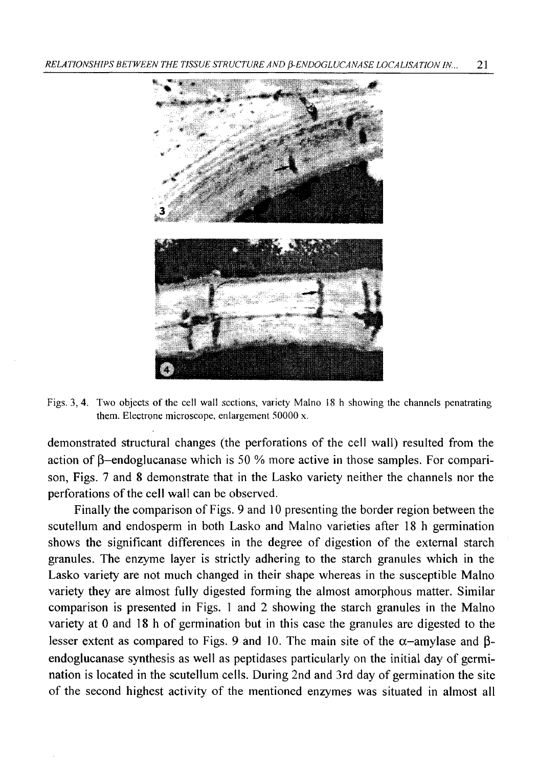

Figs. 3, 4. Two objects of the cell wall sections, variety Malno 18 h showing the channels penatrating **them. Electrone microscope, enlargement 50000 x.**

demonstrated structural changes (the perforations of the cell wall) resulted from the action of  $\beta$ -endoglucanase which is 50 % more active in those samples. For comparison, Figs. 7 and 8 demonstrate that in the Lasko variety neither the channels nor the perforations of the cell wall can be observed.

Finally the comparison of Figs. 9 and 10 presenting the border region between the scutellum and endosperm in both Lasko and Malno varieties after 18 h germination shows the significant differences in the degree of digestion of the external starch granules. The enzyme layer is strictly adhering to the starch granules which in the Lasko variety are not much changed in their shape whereas in the susceptible Malno variety they are almost fully digested forming the almost amorphous matter. Similar comparison is presented in Figs. 1 and 2 showing the starch granules in the Malno variety at 0 and 18 h of germination but in this case the granules are digested to the lesser extent as compared to Figs. 9 and 10. The main site of the  $\alpha$ -amylase and  $\beta$ endoglucanase synthesis as well as peptidases particularly on the initial day of germination is located in the scutellum cells. During 2nd and 3rd day of germination the site of the second highest activity of the mentioned enzymes was situated in almost all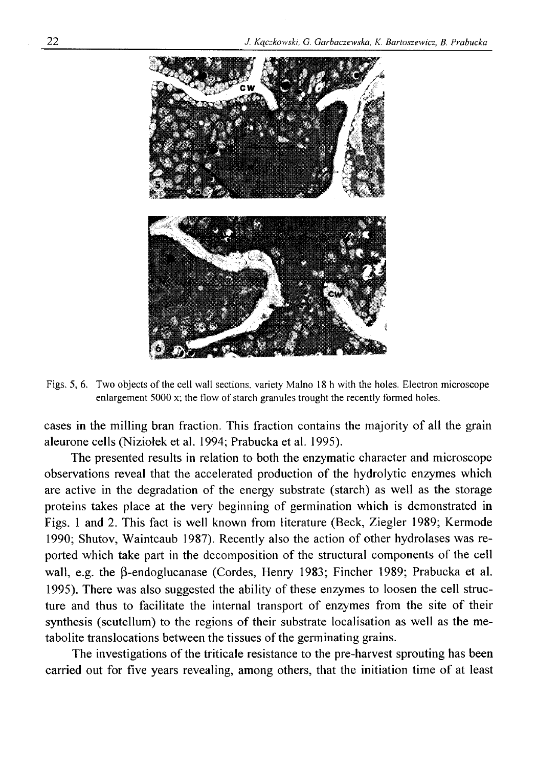

**Figs. 5,** <sup>6</sup> **. Two objects of the cell wall sections, variety Malno 18 h with the holes. Electron microscope enlargement 5000 x; the flow of starch granules trought the recently formed holes.**

cases in the milling bran fraction. This fraction contains the majority of all the grain aleurone cells (Niziołek et al. 1994; Prabucka et al. 1995).

The presented results in relation to both the enzymatic character and microscope observations reveal that the accelerated production of the hydrolytic enzymes which are active in the degradation of the energy substrate (starch) as well as the storage proteins takes place at the very beginning of germination which is demonstrated in Figs. 1 and 2. This fact is well known from literature (Beck, Ziegler 1989; Kermode 1990; Shutov, Waintcaub 1987). Recently also the action of other hydrolases was reported which take part in the decomposition of the structural components of the cell wall, e.g. the  $\beta$ -endoglucanase (Cordes, Henry 1983; Fincher 1989; Prabucka et al. 1995). There was also suggested the ability of these enzymes to loosen the cell structure and thus to facilitate the internal transport of enzymes from the site of their synthesis (scutellum) to the regions of their substrate localisation as well as the metabolite translocations between the tissues of the germinating grains.

The investigations of the triticale resistance to the pre-harvest sprouting has been carried out for five years revealing, among others, that the initiation time of at least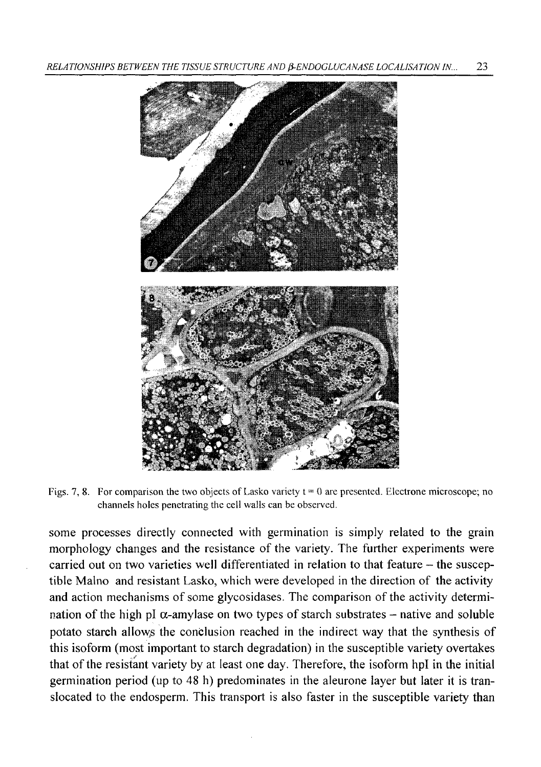

**Figs. 7, 8.** For comparison the two objects of Lasko variety  $t = 0$  are presented. Electrone microscope; no **channels holes penetrating the cell walls can be observed.**

some processes directly connected with germination is simply related to the grain morphology changes and the resistance of the variety. The further experiments were carried out on two varieties well differentiated in relation to that feature – the susceptible Malno and resistant Lasko, which were developed in the direction of the activity and action mechanisms of some glycosidases. The comparison of the activity determination of the high pI  $\alpha$ -amylase on two types of starch substrates – native and soluble potato starch allows the conclusion reached in the indirect way that the synthesis of this isoform (most important to starch degradation) in the susceptible variety overtakes that of the resistant variety by at least one day. Therefore, the isoform hpl in the initial germination period (up to 48 h) predominates in the aleurone layer but later it is translocated to the endosperm. This transport is also faster in the susceptible variety than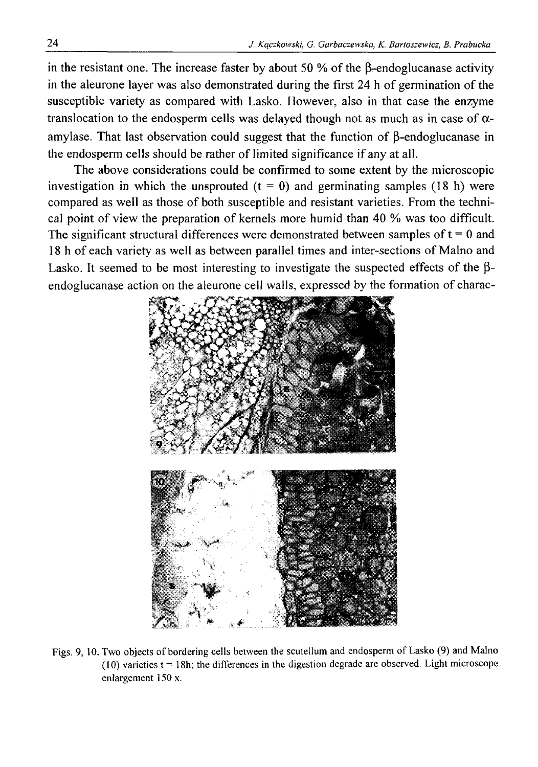in the resistant one. The increase faster by about 50  $%$  of the B-endoglucanase activity in the aleurone layer was also demonstrated during the first 24 h of germination of the susceptible variety as compared with Lasko. However, also in that case the enzyme translocation to the endosperm cells was delayed though not as much as in case of  $\alpha$ amylase. That last observation could suggest that the function of  $\beta$ -endoglucanase in the endosperm cells should be rather of limited significance if any at all.

The above considerations could be confirmed to some extent by the microscopic investigation in which the unsprouted  $(t = 0)$  and germinating samples (18 h) were compared as well as those of both susceptible and resistant varieties. From the technical point of view the preparation of kernels more humid than 40 % was too difficult. The significant structural differences were demonstrated between samples of  $t = 0$  and 18 h of each variety as well as between parallel times and inter-sections of Malno and Lasko. It seemed to be most interesting to investigate the suspected effects of the  $\beta$ endoglucanase action on the aleurone cell walls, expressed by the formation of charac-



**Figs. 9, 10. Two objects of bordering cells between the scutellum and endosperm of Lasko (9) and Malno**  $(10)$  varieties  $t = 18h$ ; the differences in the digestion degrade are observed. Light microscope **enlargement 150 x.**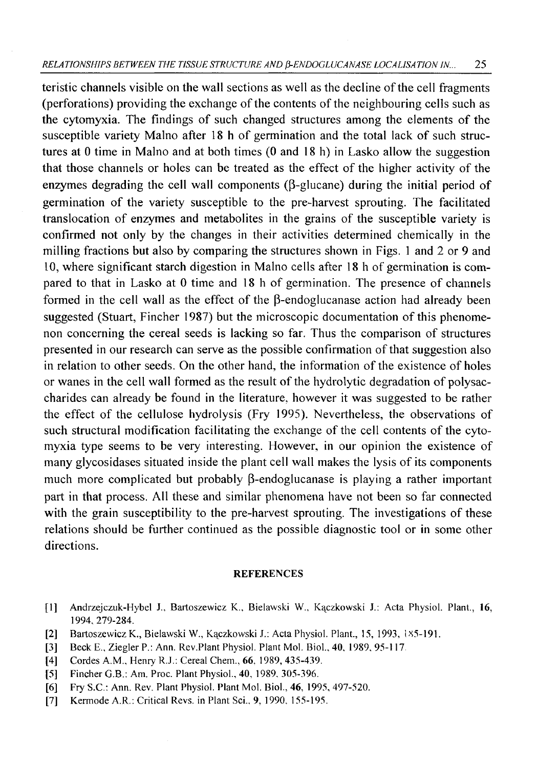#### *RELA TIONSHIPS BETWEEN THE TISSUE STRUCTURE AND (i-ENDOGLUCANASE LOCALISA TION IN...* 25

teristic channels visible on the wall sections as well as the decline of the cell fragments (perforations) providing the exchange of the contents of the neighbouring cells such as the cytomyxia. The findings of such changed structures among the elements of the susceptible variety Malno after 18 h of germination and the total lack of such structures at 0 time in Malno and at both times (0 and 18 h) in Lasko allow the suggestion that those channels or holes can be treated as the effect of the higher activity of the enzymes degrading the cell wall components  $(\beta$ -glucane) during the initial period of germination of the variety susceptible to the pre-harvest sprouting. The facilitated translocation of enzymes and metabolites in the grains of the susceptible variety is confirmed not only by the changes in their activities determined chemically in the milling fractions but also by comparing the structures shown in Figs. 1 and 2 or 9 and 10, where significant starch digestion in Malno cells after 18 h of germination is compared to that in Lasko at 0 time and 18 h of germination. The presence of channels formed in the cell wall as the effect of the  $\beta$ -endoglucanase action had already been suggested (Stuart, Fincher 1987) but the microscopic documentation of this phenomenon concerning the cereal seeds is lacking so far. Thus the comparison of structures presented in our research can serve as the possible confirmation of that suggestion also in relation to other seeds. On the other hand, the information of the existence of holes or wanes in the cell wall formed as the result of the hydrolytic degradation of polysaccharides can already be found in the literature, however it was suggested to be rather the effect of the cellulose hydrolysis (Fry 1995). Nevertheless, the observations of such structural modification facilitating the exchange of the cell contents of the cytomyxia type seems to be very interesting. However, in our opinion the existence of many glycosidases situated inside the plant cell wall makes the lysis of its components much more complicated but probably  $\beta$ -endoglucanase is playing a rather important part in that process. All these and similar phenomena have not been so far connected with the grain susceptibility to the pre-harvest sprouting. The investigations of these relations should be further continued as the possible diagnostic tool or in some other directions.

#### **REFERENCES**

- **[1] Andrzejczuk-Hybel J., Bartoszewicz K" Bielawski W., Kączkowski J.: Acta Physiol. Plant., 16, 1994, 279-284.**
- [2] Bartoszewicz K., Bielawski W., Kączkowski J.: Acta Physiol. Plant., 15, 1993, 185-191.
- [3] Beck E., Ziegler P.: Ann. Rev. Plant Physiol. Plant Mol. Biol., 40, 1989, 95-117.
- [4] Cordes A.M., Henry R.J.: Cereal Chem., **66**, 1989, 435-439.
- **[5] Fincher G.B.: Am. Proc. Plant Physiol., 40, 1989. 305-396.**
- **[**<sup>6</sup> **] Fry S.C.: Ann. Rev. Plant Physiol. Plant Mol. Biol., 46, 1995, 497-520.**
- **[7] Kermode A.R.: Critical Revs, in Plant Sci., 9, 1990, 155-195.**